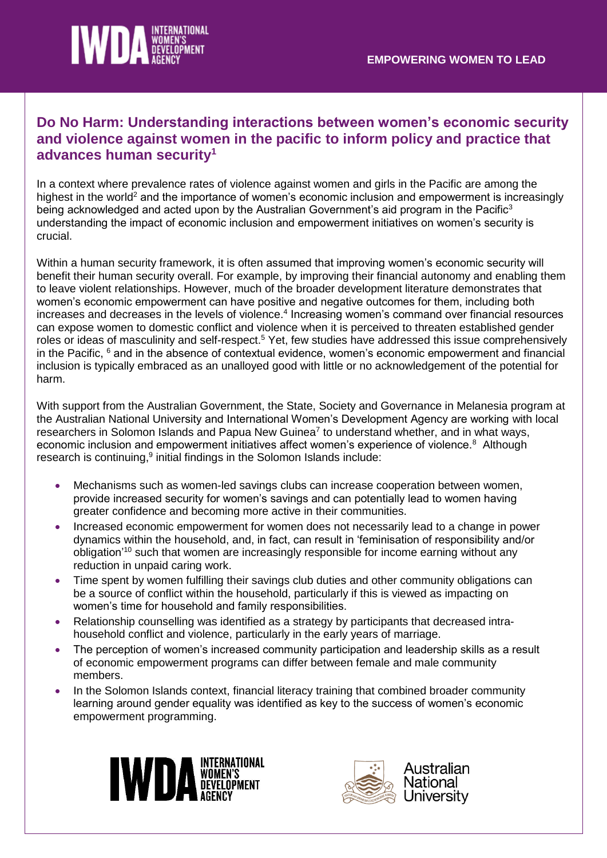

## **Do No Harm: Understanding interactions between women's economic security and violence against women in the pacific to inform policy and practice that advances human security<sup>1</sup>**

In a context where prevalence rates of violence against women and girls in the Pacific are among the highest in the world<sup>2</sup> and the importance of women's economic inclusion and empowerment is increasingly being acknowledged and acted upon by the Australian Government's aid program in the Pacific<sup>3</sup> understanding the impact of economic inclusion and empowerment initiatives on women's security is crucial.

Within a human security framework, it is often assumed that improving women's economic security will benefit their human security overall. For example, by improving their financial autonomy and enabling them to leave violent relationships. However, much of the broader development literature demonstrates that women's economic empowerment can have positive and negative outcomes for them, including both increases and decreases in the levels of violence.<sup>4</sup> Increasing women's command over financial resources can expose women to domestic conflict and violence when it is perceived to threaten established gender roles or ideas of masculinity and self-respect.<sup>5</sup> Yet, few studies have addressed this issue comprehensively in the Pacific, <sup>6</sup> and in the absence of contextual evidence, women's economic empowerment and financial inclusion is typically embraced as an unalloyed good with little or no acknowledgement of the potential for harm.

With support from the Australian Government, the State, Society and Governance in Melanesia program at the Australian National University and International Women's Development Agency are working with local researchers in Solomon Islands and Papua New Guinea<sup>7</sup> to understand whether, and in what ways, economic inclusion and empowerment initiatives affect women's experience of violence.<sup>8</sup> Although research is continuing,<sup>9</sup> initial findings in the Solomon Islands include:

- Mechanisms such as women-led savings clubs can increase cooperation between women, provide increased security for women's savings and can potentially lead to women having greater confidence and becoming more active in their communities.
- Increased economic empowerment for women does not necessarily lead to a change in power dynamics within the household, and, in fact, can result in 'feminisation of responsibility and/or obligation'<sup>10</sup> such that women are increasingly responsible for income earning without any reduction in unpaid caring work.
- Time spent by women fulfilling their savings club duties and other community obligations can be a source of conflict within the household, particularly if this is viewed as impacting on women's time for household and family responsibilities.
- Relationship counselling was identified as a strategy by participants that decreased intrahousehold conflict and violence, particularly in the early years of marriage.
- The perception of women's increased community participation and leadership skills as a result of economic empowerment programs can differ between female and male community members.
- In the Solomon Islands context, financial literacy training that combined broader community learning around gender equality was identified as key to the success of women's economic empowerment programming.



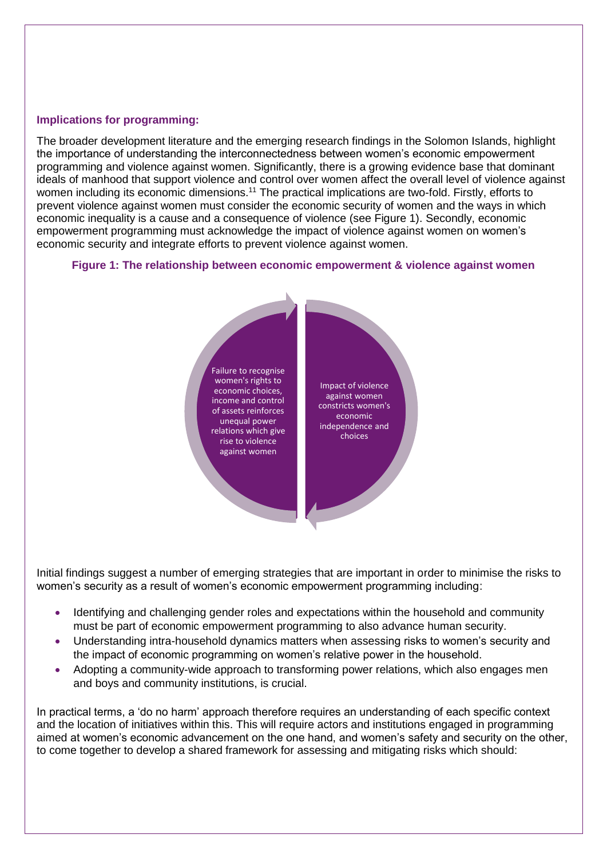## **Implications for programming:**

The broader development literature and the emerging research findings in the Solomon Islands, highlight the importance of understanding the interconnectedness between women's economic empowerment programming and violence against women. Significantly, there is a growing evidence base that dominant ideals of manhood that support violence and control over women affect the overall level of violence against women including its economic dimensions.<sup>11</sup> The practical implications are two-fold. Firstly, efforts to prevent violence against women must consider the economic security of women and the ways in which economic inequality is a cause and a consequence of violence (see Figure 1). Secondly, economic empowerment programming must acknowledge the impact of violence against women on women's economic security and integrate efforts to prevent violence against women.

## **Figure 1: The relationship between economic empowerment & violence against women**



Initial findings suggest a number of emerging strategies that are important in order to minimise the risks to women's security as a result of women's economic empowerment programming including:

- Identifying and challenging gender roles and expectations within the household and community must be part of economic empowerment programming to also advance human security.
- Understanding intra-household dynamics matters when assessing risks to women's security and the impact of economic programming on women's relative power in the household.
- Adopting a community-wide approach to transforming power relations, which also engages men and boys and community institutions, is crucial.

In practical terms, a 'do no harm' approach therefore requires an understanding of each specific context and the location of initiatives within this. This will require actors and institutions engaged in programming aimed at women's economic advancement on the one hand, and women's safety and security on the other, to come together to develop a shared framework for assessing and mitigating risks which should: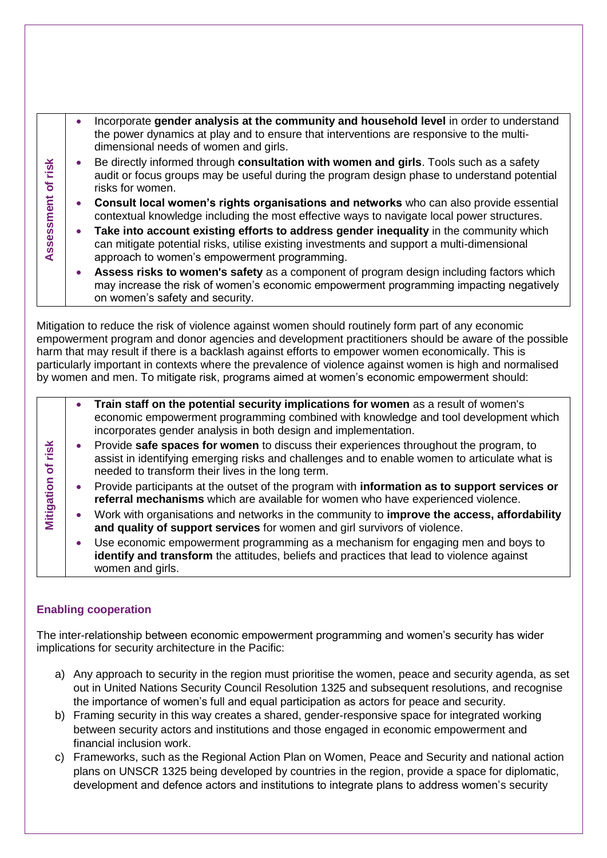| ≚<br><u>.ഗ</u><br>ัธ<br>ssment<br><b>Assex</b> | Incorporate gender analysis at the community and household level in order to understand<br>the power dynamics at play and to ensure that interventions are responsive to the multi-<br>dimensional needs of women and girls.         |
|------------------------------------------------|--------------------------------------------------------------------------------------------------------------------------------------------------------------------------------------------------------------------------------------|
|                                                | Be directly informed through consultation with women and girls. Tools such as a safety<br>audit or focus groups may be useful during the program design phase to understand potential<br>risks for women.                            |
|                                                | Consult local women's rights organisations and networks who can also provide essential<br>contextual knowledge including the most effective ways to navigate local power structures.                                                 |
|                                                | Take into account existing efforts to address gender inequality in the community which<br>can mitigate potential risks, utilise existing investments and support a multi-dimensional<br>approach to women's empowerment programming. |
|                                                | Assess risks to women's safety as a component of program design including factors which<br>may increase the risk of women's economic empowerment programming impacting negatively<br>on women's safety and security.                 |

Mitigation to reduce the risk of violence against women should routinely form part of any economic empowerment program and donor agencies and development practitioners should be aware of the possible harm that may result if there is a backlash against efforts to empower women economically. This is particularly important in contexts where the prevalence of violence against women is high and normalised by women and men. To mitigate risk, programs aimed at women's economic empowerment should:

|                                             | Train staff on the potential security implications for women as a result of women's<br>economic empowerment programming combined with knowledge and tool development which<br>incorporates gender analysis in both design and implementation. |
|---------------------------------------------|-----------------------------------------------------------------------------------------------------------------------------------------------------------------------------------------------------------------------------------------------|
| <u>isk</u><br>$\overline{\phantom{0}}$<br>৳ | Provide safe spaces for women to discuss their experiences throughout the program, to<br>assist in identifying emerging risks and challenges and to enable women to articulate what is<br>needed to transform their lives in the long term.   |
| Mitigation                                  | Provide participants at the outset of the program with information as to support services or<br>referral mechanisms which are available for women who have experienced violence.                                                              |
|                                             | Work with organisations and networks in the community to <b>improve the access, affordability</b><br>and quality of support services for women and girl survivors of violence.                                                                |
|                                             | Use economic empowerment programming as a mechanism for engaging men and boys to<br>identify and transform the attitudes, beliefs and practices that lead to violence against<br>women and girls.                                             |

## **Enabling cooperation**

The inter-relationship between economic empowerment programming and women's security has wider implications for security architecture in the Pacific:

- a) Any approach to security in the region must prioritise the women, peace and security agenda, as set out in United Nations Security Council Resolution 1325 and subsequent resolutions, and recognise the importance of women's full and equal participation as actors for peace and security.
- b) Framing security in this way creates a shared, gender-responsive space for integrated working between security actors and institutions and those engaged in economic empowerment and financial inclusion work.
- c) Frameworks, such as the Regional Action Plan on Women, Peace and Security and national action plans on UNSCR 1325 being developed by countries in the region, provide a space for diplomatic, development and defence actors and institutions to integrate plans to address women's security